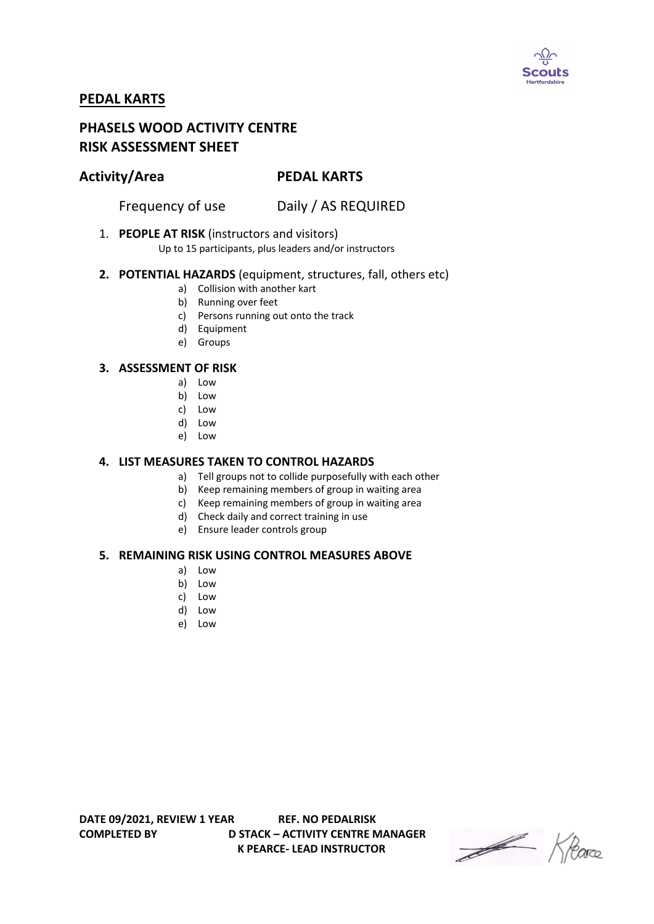

# **PEDAL KARTS**

# **PHASELS WOOD ACTIVITY CENTRE RISK ASSESSMENT SHEET**

## **Activity/Area PEDAL KARTS**

Frequency of use Daily / AS REQUIRED

### 1. **PEOPLE AT RISK** (instructors and visitors)

Up to 15 participants, plus leaders and/or instructors

#### **2. POTENTIAL HAZARDS** (equipment, structures, fall, others etc)

- a) Collision with another kart
- b) Running over feet
- c) Persons running out onto the track
- d) Equipment
- e) Groups

#### **3. ASSESSMENT OF RISK**

- a) Low
- b) Low
- c) Low
- d) Low
- e) Low

#### **4. LIST MEASURES TAKEN TO CONTROL HAZARDS**

- a) Tell groups not to collide purposefully with each other
- b) Keep remaining members of group in waiting area
- c) Keep remaining members of group in waiting area
- d) Check daily and correct training in use
- e) Ensure leader controls group

#### **5. REMAINING RISK USING CONTROL MEASURES ABOVE**

- a) Low
- b) Low
- c) Low
- d) Low
- e) Low

Heave